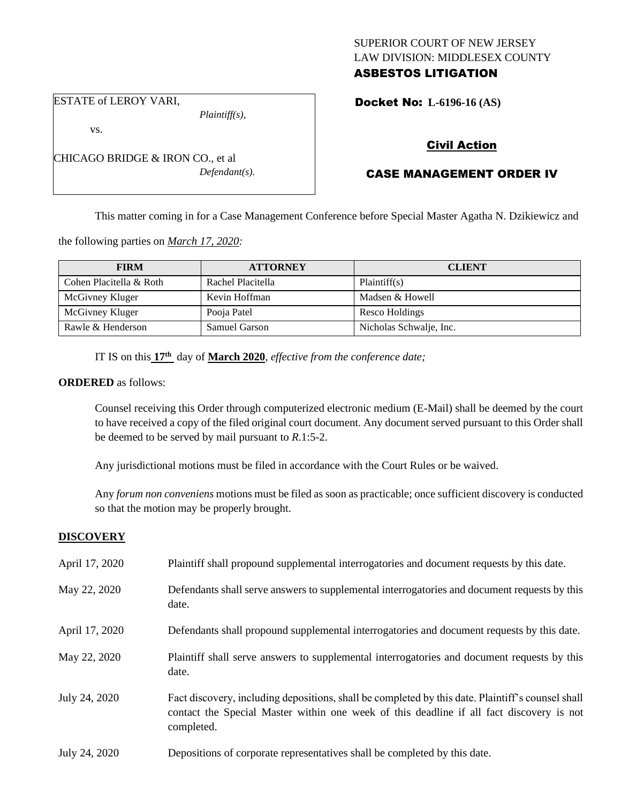# SUPERIOR COURT OF NEW JERSEY LAW DIVISION: MIDDLESEX COUNTY ASBESTOS LITIGATION

ESTATE of LEROY VARI,

vs.

*Plaintiff(s),*

Docket No: **L-6196-16 (AS)** 

# Civil Action

# CASE MANAGEMENT ORDER IV

This matter coming in for a Case Management Conference before Special Master Agatha N. Dzikiewicz and

the following parties on *March 17, 2020:*

| <b>FIRM</b>             | <b>ATTORNEY</b>      | <b>CLIENT</b>           |
|-------------------------|----------------------|-------------------------|
| Cohen Placitella & Roth | Rachel Placitella    | Plaintiff(s)            |
| McGivney Kluger         | Kevin Hoffman        | Madsen & Howell         |
| McGivney Kluger         | Pooja Patel          | Resco Holdings          |
| Rawle & Henderson       | <b>Samuel Garson</b> | Nicholas Schwalje, Inc. |

IT IS on this **17th** day of **March 2020**, *effective from the conference date;*

**ORDERED** as follows:

Counsel receiving this Order through computerized electronic medium (E-Mail) shall be deemed by the court to have received a copy of the filed original court document. Any document served pursuant to this Order shall be deemed to be served by mail pursuant to *R*.1:5-2.

Any jurisdictional motions must be filed in accordance with the Court Rules or be waived.

Any *forum non conveniens* motions must be filed as soon as practicable; once sufficient discovery is conducted so that the motion may be properly brought.

## **DISCOVERY**

| April 17, 2020 | Plaintiff shall propound supplemental interrogatories and document requests by this date.                                                                                                                   |
|----------------|-------------------------------------------------------------------------------------------------------------------------------------------------------------------------------------------------------------|
| May 22, 2020   | Defendants shall serve answers to supplemental interrogatories and document requests by this<br>date.                                                                                                       |
| April 17, 2020 | Defendants shall propound supplemental interrogatories and document requests by this date.                                                                                                                  |
| May 22, 2020   | Plaintiff shall serve answers to supplemental interrogatories and document requests by this<br>date.                                                                                                        |
| July 24, 2020  | Fact discovery, including depositions, shall be completed by this date. Plaintiff's counsel shall<br>contact the Special Master within one week of this deadline if all fact discovery is not<br>completed. |
| July 24, 2020  | Depositions of corporate representatives shall be completed by this date.                                                                                                                                   |

CHICAGO BRIDGE & IRON CO., et al *Defendant(s).*